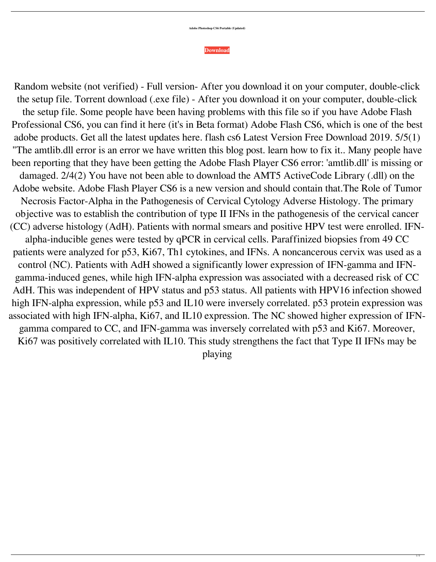## **Adobe Photoshop CS6 Portable (Updated)**

## **[Download](https://geags.com/2kyjcr)**

Random website (not verified) - Full version- After you download it on your computer, double-click the setup file. Torrent download (.exe file) - After you download it on your computer, double-click the setup file. Some people have been having problems with this file so if you have Adobe Flash Professional CS6, you can find it here (it's in Beta format) Adobe Flash CS6, which is one of the best adobe products. Get all the latest updates here. flash cs6 Latest Version Free Download 2019. 5/5(1) "The amtlib.dll error is an error we have written this blog post. learn how to fix it.. Many people have been reporting that they have been getting the Adobe Flash Player CS6 error: 'amtlib.dll' is missing or damaged. 2/4(2) You have not been able to download the AMT5 ActiveCode Library (.dll) on the Adobe website. Adobe Flash Player CS6 is a new version and should contain that.The Role of Tumor Necrosis Factor-Alpha in the Pathogenesis of Cervical Cytology Adverse Histology. The primary objective was to establish the contribution of type II IFNs in the pathogenesis of the cervical cancer (CC) adverse histology (AdH). Patients with normal smears and positive HPV test were enrolled. IFNalpha-inducible genes were tested by qPCR in cervical cells. Paraffinized biopsies from 49 CC patients were analyzed for p53, Ki67, Th1 cytokines, and IFNs. A noncancerous cervix was used as a control (NC). Patients with AdH showed a significantly lower expression of IFN-gamma and IFNgamma-induced genes, while high IFN-alpha expression was associated with a decreased risk of CC AdH. This was independent of HPV status and p53 status. All patients with HPV16 infection showed high IFN-alpha expression, while p53 and IL10 were inversely correlated. p53 protein expression was associated with high IFN-alpha, Ki67, and IL10 expression. The NC showed higher expression of IFNgamma compared to CC, and IFN-gamma was inversely correlated with p53 and Ki67. Moreover, Ki67 was positively correlated with IL10. This study strengthens the fact that Type II IFNs may be playing